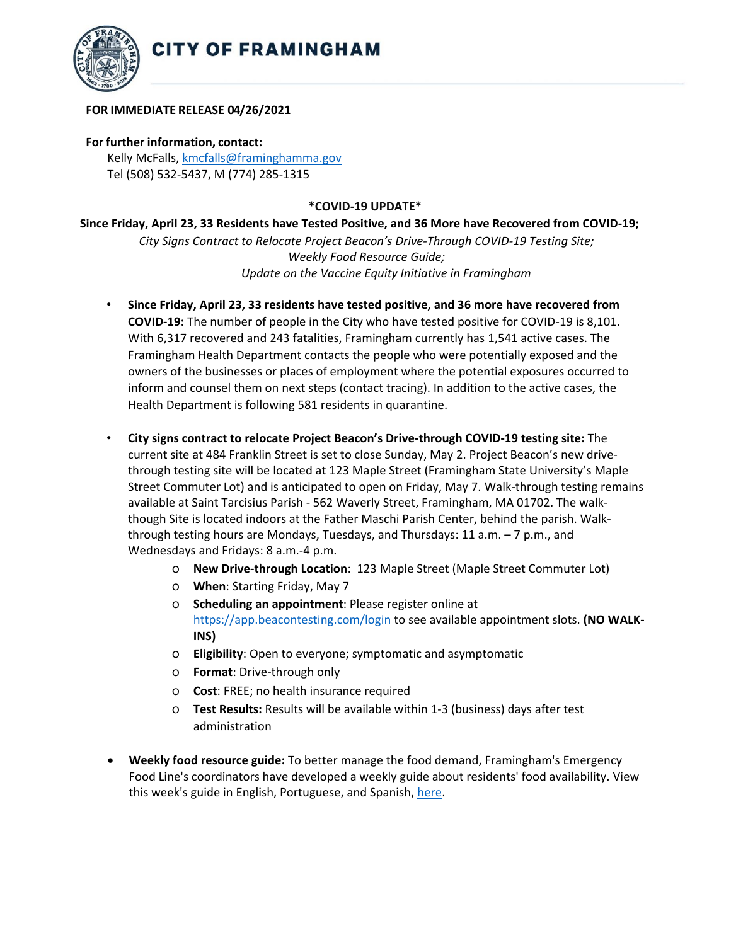

## **FOR IMMEDIATE RELEASE 04/26/2021**

## **For further information, contact:**

Kelly McFalls[, kmcfalls@framinghamma.gov](mailto:kmcfalls@framinghamma.gov) Tel (508) 532-5437, M (774) 285-1315

## **\*COVID-19 UPDATE\***

**Since Friday, April 23, 33 Residents have Tested Positive, and 36 More have Recovered from COVID-19;**  *City Signs Contract to Relocate Project Beacon's Drive-Through COVID-19 Testing Site; Weekly Food Resource Guide; Update on the Vaccine Equity Initiative in Framingham*

- **Since Friday, April 23, 33 residents have tested positive, and 36 more have recovered from COVID-19:** The number of people in the City who have tested positive for COVID-19 is 8,101. With 6,317 recovered and 243 fatalities, Framingham currently has 1,541 active cases. The Framingham Health Department contacts the people who were potentially exposed and the owners of the businesses or places of employment where the potential exposures occurred to inform and counsel them on next steps (contact tracing). In addition to the active cases, the Health Department is following 581 residents in quarantine.
- **City signs contract to relocate Project Beacon's Drive-through COVID-19 testing site:** The current site at 484 Franklin Street is set to close Sunday, May 2. Project Beacon's new drivethrough testing site will be located at 123 Maple Street (Framingham State University's Maple Street Commuter Lot) and is anticipated to open on Friday, May 7. Walk-through testing remains available at Saint Tarcisius Parish - 562 Waverly Street, Framingham, MA 01702. The walkthough Site is located indoors at the Father Maschi Parish Center, behind the parish. Walkthrough testing hours are Mondays, Tuesdays, and Thursdays: 11 a.m. – 7 p.m., and Wednesdays and Fridays: 8 a.m.-4 p.m.
	- o **New Drive-through Location**: 123 Maple Street (Maple Street Commuter Lot)
	- o **When**: Starting Friday, May 7
	- o **Scheduling an appointment**: Please register online at <https://app.beacontesting.com/login> to see available appointment slots. **(NO WALK-INS)**
	- o **Eligibility**: Open to everyone; symptomatic and asymptomatic
	- o **Format**: Drive-through only
	- o **Cost**: FREE; no health insurance required
	- o **Test Results:** Results will be available within 1-3 (business) days after test administration
- **Weekly food resource guide:** To better manage the food demand, Framingham's Emergency Food Line's coordinators have developed a weekly guide about residents' food availability. View this week's guide in English, Portuguese, and Spanish, [here.](https://www.framinghamma.gov/3023/Access-Food)